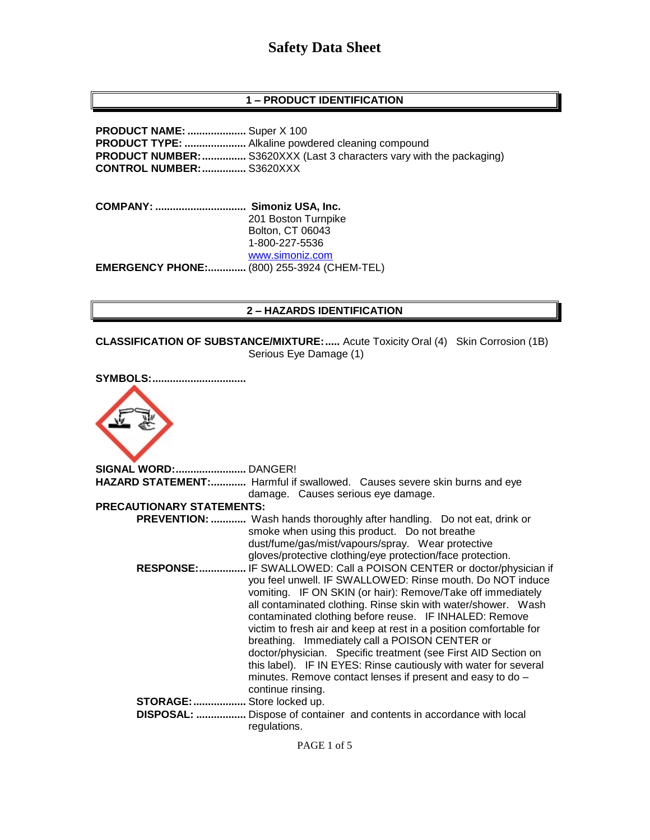## **1 – PRODUCT IDENTIFICATION**

**PRODUCT NAME: ....................** Super X 100 **PRODUCT TYPE: .....................** Alkaline powdered cleaning compound **PRODUCT NUMBER:**................. S3620XXX (Last 3 characters vary with the packaging) **CONTROL NUMBER:...............** S3620XXX

**COMPANY: ............................... Simoniz USA, Inc.** 201 Boston Turnpike Bolton, CT 06043 1-800-227-5536 [www.simoniz.com](http://www.simoniz.com/) **EMERGENCY PHONE:.............** (800) 255-3924 (CHEM-TEL)

#### **2 – HAZARDS IDENTIFICATION**

**CLASSIFICATION OF SUBSTANCE/MIXTURE:.....** Acute Toxicity Oral (4) Skin Corrosion (1B) Serious Eye Damage (1)

| <b>SYMBOLS:</b>                  |                                                                                                                                                                                                                                                                                                                                                                                                                                                                                                                                                                                                                                                                             |
|----------------------------------|-----------------------------------------------------------------------------------------------------------------------------------------------------------------------------------------------------------------------------------------------------------------------------------------------------------------------------------------------------------------------------------------------------------------------------------------------------------------------------------------------------------------------------------------------------------------------------------------------------------------------------------------------------------------------------|
| SIGNAL WORD: DANGER!             |                                                                                                                                                                                                                                                                                                                                                                                                                                                                                                                                                                                                                                                                             |
|                                  | HAZARD STATEMENT: Harmful if swallowed. Causes severe skin burns and eye                                                                                                                                                                                                                                                                                                                                                                                                                                                                                                                                                                                                    |
|                                  | damage. Causes serious eye damage.                                                                                                                                                                                                                                                                                                                                                                                                                                                                                                                                                                                                                                          |
| <b>PRECAUTIONARY STATEMENTS:</b> |                                                                                                                                                                                                                                                                                                                                                                                                                                                                                                                                                                                                                                                                             |
|                                  | <b>PREVENTION: </b> Wash hands thoroughly after handling. Do not eat, drink or<br>smoke when using this product. Do not breathe<br>dust/fume/gas/mist/vapours/spray. Wear protective<br>gloves/protective clothing/eye protection/face protection.                                                                                                                                                                                                                                                                                                                                                                                                                          |
|                                  | RESPONSE: IF SWALLOWED: Call a POISON CENTER or doctor/physician if<br>you feel unwell. IF SWALLOWED: Rinse mouth. Do NOT induce<br>vomiting. IF ON SKIN (or hair): Remove/Take off immediately<br>all contaminated clothing. Rinse skin with water/shower. Wash<br>contaminated clothing before reuse. IF INHALED: Remove<br>victim to fresh air and keep at rest in a position comfortable for<br>breathing. Immediately call a POISON CENTER or<br>doctor/physician. Specific treatment (see First AID Section on<br>this label). IF IN EYES: Rinse cautiously with water for several<br>minutes. Remove contact lenses if present and easy to do -<br>continue rinsing. |
| STORAGE:  Store locked up.       | DISPOSAL:  Dispose of container and contents in accordance with local<br>regulations.                                                                                                                                                                                                                                                                                                                                                                                                                                                                                                                                                                                       |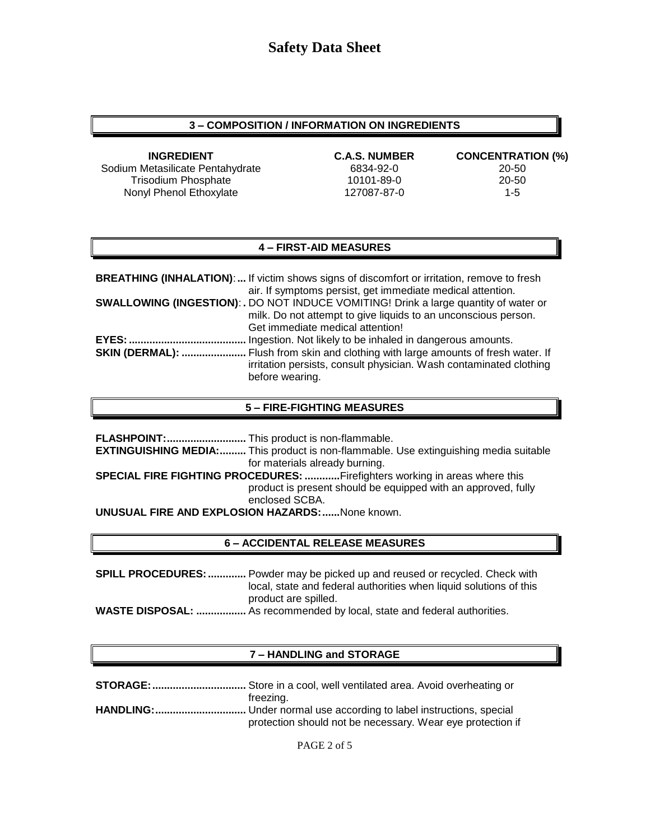### **3 – COMPOSITION / INFORMATION ON INGREDIENTS**

**INGREDIENT C.A.S. NUMBER CONCENTRATION (%)** Sodium Metasilicate Pentahydrate 6834-92-0 6834-92-0 Trisodium Phosphate 10101-89-0 20-50 Nonyl Phenol Ethoxylate 127087-87-0 1-5

### **4 – FIRST-AID MEASURES**

|                        | <b>BREATHING (INHALATION):</b> If victim shows signs of discomfort or irritation, remove to fresh |
|------------------------|---------------------------------------------------------------------------------------------------|
|                        | air. If symptoms persist, get immediate medical attention.                                        |
|                        | <b>SWALLOWING (INGESTION): .</b> DO NOT INDUCE VOMITING! Drink a large quantity of water or       |
|                        | milk. Do not attempt to give liquids to an unconscious person.                                    |
|                        | Get immediate medical attention!                                                                  |
| EYES:                  | Ingestion. Not likely to be inhaled in dangerous amounts.                                         |
| <b>SKIN (DERMAL): </b> | Flush from skin and clothing with large amounts of fresh water. If                                |
|                        | irritation persists, consult physician. Wash contaminated clothing                                |
|                        | before wearing.                                                                                   |

#### **5 – FIRE-FIGHTING MEASURES**

|                                                                                   | <b>EXTINGUISHING MEDIA:</b> This product is non-flammable. Use extinguishing media suitable |  |  |
|-----------------------------------------------------------------------------------|---------------------------------------------------------------------------------------------|--|--|
|                                                                                   | for materials already burning.                                                              |  |  |
| <b>SPECIAL FIRE FIGHTING PROCEDURES: Firefighters working in areas where this</b> |                                                                                             |  |  |
|                                                                                   | product is present should be equipped with an approved, fully<br>enclosed SCBA.             |  |  |
| <b>UNUSUAL FIRE AND EXPLOSION HAZARDS:  None known.</b>                           |                                                                                             |  |  |

#### **6 – ACCIDENTAL RELEASE MEASURES**

**SPILL PROCEDURES:.............** Powder may be picked up and reused or recycled. Check with local, state and federal authorities when liquid solutions of this product are spilled. **WASTE DISPOSAL: .................** As recommended by local, state and federal authorities.

#### **7 – HANDLING and STORAGE**

| freezing.                                                  |
|------------------------------------------------------------|
|                                                            |
| protection should not be necessary. Wear eye protection if |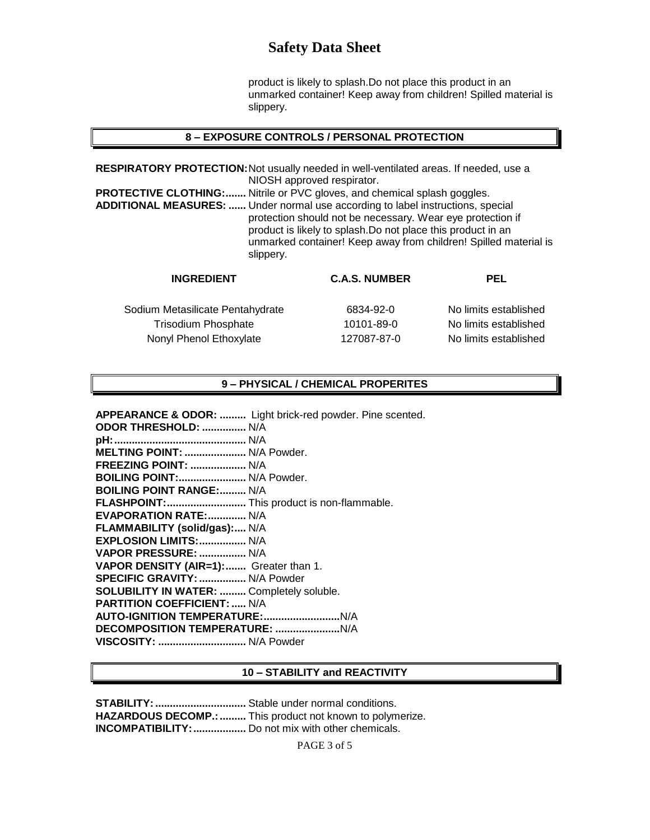product is likely to splash.Do not place this product in an unmarked container! Keep away from children! Spilled material is slippery.

#### **8 – EXPOSURE CONTROLS / PERSONAL PROTECTION**

**RESPIRATORY PROTECTION:**Not usually needed in well-ventilated areas. If needed, use a NIOSH approved respirator. **PROTECTIVE CLOTHING:.......** Nitrile or PVC gloves, and chemical splash goggles. **ADDITIONAL MEASURES: ......** Under normal use according to label instructions, special protection should not be necessary. Wear eye protection if product is likely to splash.Do not place this product in an unmarked container! Keep away from children! Spilled material is slippery.

| <b>INGREDIENT</b>                | <b>C.A.S. NUMBER</b> | <b>PEL</b>            |
|----------------------------------|----------------------|-----------------------|
| Sodium Metasilicate Pentahydrate | 6834-92-0            | No limits established |
| <b>Trisodium Phosphate</b>       | 10101-89-0           | No limits established |
| Nonyl Phenol Ethoxylate          | 127087-87-0          | No limits established |

### **9 – PHYSICAL / CHEMICAL PROPERITES**

**APPEARANCE & ODOR: .........** Light brick-red powder. Pine scented.

**ODOR THRESHOLD: ...............** N/A **pH:.............................................** N/A **MELTING POINT: .....................** N/A Powder. **FREEZING POINT: ...................** N/A **BOILING POINT:.......................** N/A Powder. **BOILING POINT RANGE:.........** N/A **FLASHPOINT:...........................** This product is non-flammable. **EVAPORATION RATE:.............** N/A **FLAMMABILITY (solid/gas):....** N/A **EXPLOSION LIMITS:................** N/A **VAPOR PRESSURE: ................** N/A **VAPOR DENSITY (AIR=1):.......** Greater than 1. **SPECIFIC GRAVITY:................** N/A Powder **SOLUBILITY IN WATER: .........** Completely soluble. **PARTITION COEFFICIENT: .....** N/A **AUTO-IGNITION TEMPERATURE:..........................**N/A **DECOMPOSITION TEMPERATURE: ......................**N/A **VISCOSITY: ..............................** N/A Powder

#### **10 – STABILITY and REACTIVITY**

**STABILITY:...............................** Stable under normal conditions. **HAZARDOUS DECOMP.: ..........** This product not known to polymerize. **INCOMPATIBILITY:..................** Do not mix with other chemicals.

PAGE 3 of 5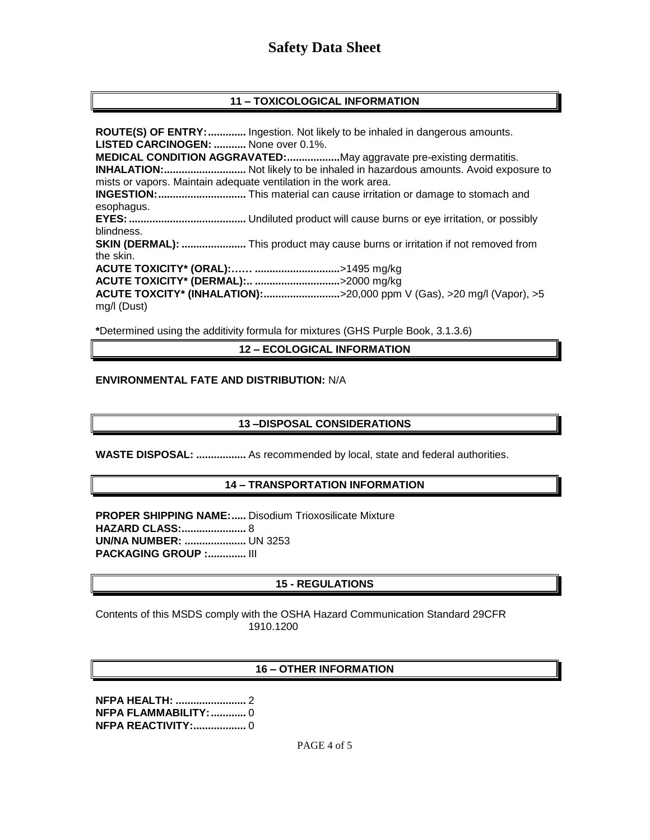### **11 – TOXICOLOGICAL INFORMATION**

**ROUTE(S) OF ENTRY:.............** Ingestion. Not likely to be inhaled in dangerous amounts. **LISTED CARCINOGEN: ...........** None over 0.1%. **MEDICAL CONDITION AGGRAVATED:..................**May aggravate pre-existing dermatitis. **INHALATION:............................** Not likely to be inhaled in hazardous amounts. Avoid exposure to mists or vapors. Maintain adequate ventilation in the work area. **INGESTION:..............................** This material can cause irritation or damage to stomach and esophagus. **EYES:........................................** Undiluted product will cause burns or eye irritation, or possibly blindness. **SKIN (DERMAL): ......................** This product may cause burns or irritation if not removed from the skin. **ACUTE TOXICITY\* (ORAL):…… .............................**>1495 mg/kg **ACUTE TOXICITY\* (DERMAL):.. .............................**>2000 mg/kg **ACUTE TOXCITY\* (INHALATION):..........................**>20,000 ppm V (Gas), >20 mg/l (Vapor), >5 mg/l (Dust)

**\***Determined using the additivity formula for mixtures (GHS Purple Book, 3.1.3.6)

**12 – ECOLOGICAL INFORMATION**

#### **ENVIRONMENTAL FATE AND DISTRIBUTION:** N/A

#### **13 –DISPOSAL CONSIDERATIONS**

**WASTE DISPOSAL: .................** As recommended by local, state and federal authorities.

#### **14 – TRANSPORTATION INFORMATION**

**PROPER SHIPPING NAME:.....** Disodium Trioxosilicate Mixture **HAZARD CLASS:......................** 8 **UN/NA NUMBER: .....................** UN 3253 **PACKAGING GROUP :.............** III

#### **15 - REGULATIONS**

Contents of this MSDS comply with the OSHA Hazard Communication Standard 29CFR 1910.1200

#### **16 – OTHER INFORMATION**

**NFPA HEALTH: ........................** 2 **NFPA FLAMMABILITY:............** 0 **NFPA REACTIVITY:..................** 0